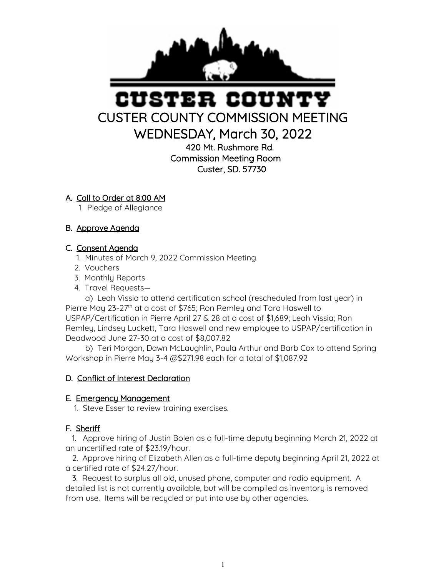

# STER COUN CUSTER COUNTY COMMISSION MEETING

WEDNESDAY, March 30, 2022

420 Mt. Rushmore Rd. Commission Meeting Room Custer, SD. 57730

# A. Call to Order at 8:00 AM

1. Pledge of Allegiance

# B. Approve Agenda

### C. Consent Agenda

- 1. Minutes of March 9, 2022 Commission Meeting.
- 2. Vouchers
- 3. Monthly Reports
- 4. Travel Requests—

 a) Leah Vissia to attend certification school (rescheduled from last year) in Pierre May 23-27<sup>th</sup> at a cost of \$765; Ron Remley and Tara Haswell to USPAP/Certification in Pierre April 27 & 28 at a cost of \$1,689; Leah Vissia; Ron Remley, Lindsey Luckett, Tara Haswell and new employee to USPAP/certification in Deadwood June 27-30 at a cost of \$8,007.82

 b) Teri Morgan, Dawn McLaughlin, Paula Arthur and Barb Cox to attend Spring Workshop in Pierre May 3-4 @\$271.98 each for a total of \$1,087.92

### D. Conflict of Interest Declaration

### E. Emergency Management

1. Steve Esser to review training exercises.

# F. Sheriff

 1. Approve hiring of Justin Bolen as a full-time deputy beginning March 21, 2022 at an uncertified rate of \$23.19/hour.

 2. Approve hiring of Elizabeth Allen as a full-time deputy beginning April 21, 2022 at a certified rate of \$24.27/hour.

 3. Request to surplus all old, unused phone, computer and radio equipment. A detailed list is not currently available, but will be compiled as inventory is removed from use. Items will be recycled or put into use by other agencies.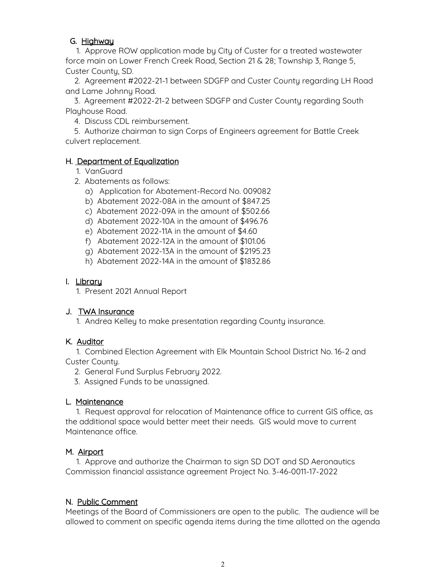## G. Highway

 1. Approve ROW application made by City of Custer for a treated wastewater force main on Lower French Creek Road, Section 21 & 28; Township 3, Range 5, Custer County, SD.

 2. Agreement #2022-21-1 between SDGFP and Custer County regarding LH Road and Lame Johnny Road.

 3. Agreement #2022-21-2 between SDGFP and Custer County regarding South Playhouse Road.

4. Discuss CDL reimbursement.

 5. Authorize chairman to sign Corps of Engineers agreement for Battle Creek culvert replacement.

### H. Department of Equalization

- 1. VanGuard
- 2. Abatements as follows:
	- a) Application for Abatement-Record No. 009082
	- b) Abatement 2022-08A in the amount of \$847.25
	- c) Abatement 2022-09A in the amount of \$502.66
	- d) Abatement 2022-10A in the amount of \$496.76
	- e) Abatement 2022-11A in the amount of \$4.60
	- f) Abatement 2022-12A in the amount of \$101.06
	- g) Abatement 2022-13A in the amount of \$2195.23
	- h) Abatement 2022-14A in the amount of \$1832.86

### I. Library

1. Present 2021 Annual Report

# J. TWA Insurance

1. Andrea Kelley to make presentation regarding County insurance.

### K. Auditor

 1. Combined Election Agreement with Elk Mountain School District No. 16-2 and Custer County.

- 2. General Fund Surplus February 2022.
- 3. Assigned Funds to be unassigned.

### L. Maintenance

 1. Request approval for relocation of Maintenance office to current GIS office, as the additional space would better meet their needs. GIS would move to current Maintenance office.

### M. Airport

 1. Approve and authorize the Chairman to sign SD DOT and SD Aeronautics Commission financial assistance agreement Project No. 3-46-0011-17-2022

# N. Public Comment

Meetings of the Board of Commissioners are open to the public. The audience will be allowed to comment on specific agenda items during the time allotted on the agenda